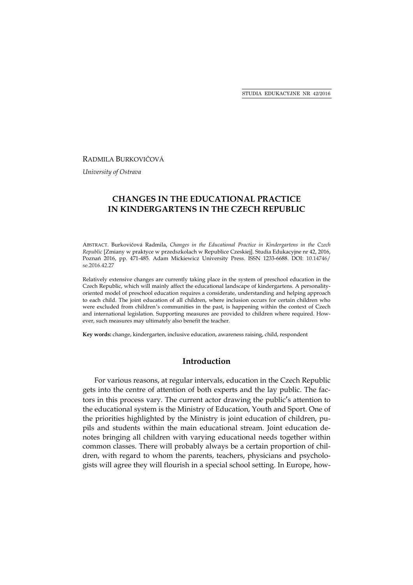RADMILA BURKOVIČOVÁ

*University of Ostrava* 

# **CHANGES IN THE EDUCATIONAL PRACTICE IN KINDERGARTENS IN THE CZECH REPUBLIC**

ABSTRACT. Burkovičová Radmila, *Changes in the Educational Practice in Kindergartens in the Czech Republic* [Zmiany w praktyce w przedszkolach w Republice Czeskiej]. Studia Edukacyjne nr 42, 2016, Poznań 2016, pp. 471-485. Adam Mickiewicz University Press. ISSN 1233-6688. DOI: 10.14746/ se.2016.42.27

Relatively extensive changes are currently taking place in the system of preschool education in the Czech Republic, which will mainly affect the educational landscape of kindergartens. A personalityoriented model of preschool education requires a considerate, understanding and helping approach to each child. The joint education of all children, where inclusion occurs for certain children who were excluded from children's communities in the past, is happening within the context of Czech and international legislation. Supporting measures are provided to children where required. However, such measures may ultimately also benefit the teacher.

**Key words:** change, kindergarten, inclusive education, awareness raising, child, respondent

# **Introduction**

For various reasons, at regular intervals, education in the Czech Republic gets into the centre of attention of both experts and the lay public. The factors in this process vary. The current actor drawing the public's attention to the educational system is the Ministry of Education, Youth and Sport. One of the priorities highlighted by the Ministry is joint education of children, pupils and students within the main educational stream. Joint education denotes bringing all children with varying educational needs together within common classes. There will probably always be a certain proportion of children, with regard to whom the parents, teachers, physicians and psychologists will agree they will flourish in a special school setting. In Europe, how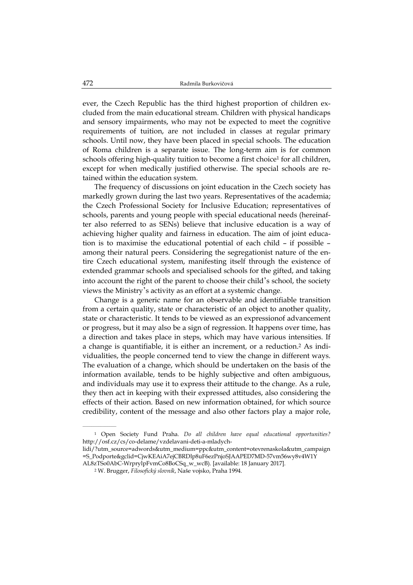ever, the Czech Republic has the third highest proportion of children excluded from the main educational stream. Children with physical handicaps and sensory impairments, who may not be expected to meet the cognitive requirements of tuition, are not included in classes at regular primary schools. Until now, they have been placed in special schools. The education of Roma children is a separate issue. The long-term aim is for common schools offering high-quality tuition to become a first choice<sup>1</sup> for all children, except for when medically justified otherwise. The special schools are retained within the education system.

The frequency of discussions on joint education in the Czech society has markedly grown during the last two years. Representatives of the academia; the Czech Professional Society for Inclusive Education; representatives of schools, parents and young people with special educational needs (hereinafter also referred to as SENs) believe that inclusive education is a way of achieving higher quality and fairness in education. The aim of joint education is to maximise the educational potential of each child – if possible – among their natural peers. Considering the segregationist nature of the entire Czech educational system, manifesting itself through the existence of extended grammar schools and specialised schools for the gifted, and taking into account the right of the parent to choose their child's school, the society views the Ministry's activity as an effort at a systemic change.

Change is a generic name for an observable and identifiable transition from a certain quality, state or characteristic of an object to another quality, state or characteristic. It tends to be viewed as an expressionof advancement or progress, but it may also be a sign of regression. It happens over time, has a direction and takes place in steps, which may have various intensities. If a change is quantifiable, it is either an increment, or a reduction.2 As individualities, the people concerned tend to view the change in different ways. The evaluation of a change, which should be undertaken on the basis of the information available, tends to be highly subjective and often ambiguous, and individuals may use it to express their attitude to the change. As a rule, they then act in keeping with their expressed attitudes, also considering the effects of their action. Based on new information obtained, for which source credibility, content of the message and also other factors play a major role,

 $\mathcal{L}=\mathcal{L}^{\mathcal{L}}$  , where  $\mathcal{L}^{\mathcal{L}}$ 

<sup>1</sup> Open Society Fund Praha. *Do all children have equal educational opportunities?* http://osf.cz/cs/co-delame/vzdelavani-deti-a-mladych-

lidi/?utm\_source=adwords&utm\_medium=ppc&utm\_content=otevrenaskola&utm\_campaign =S\_Podporte&gclid=CjwKEAiA7ejCBRDlp8uF6ezPnjoSJAAPED7MD-57vm56wy8v4W1Y AL8zTSo0AbC-WrprylpFvmCo8BoCSq\_w\_wcB). [available: 18 January 2017].

<sup>2</sup> W. Brugger, *Filosofický slovník*, Naše vojsko, Praha 1994.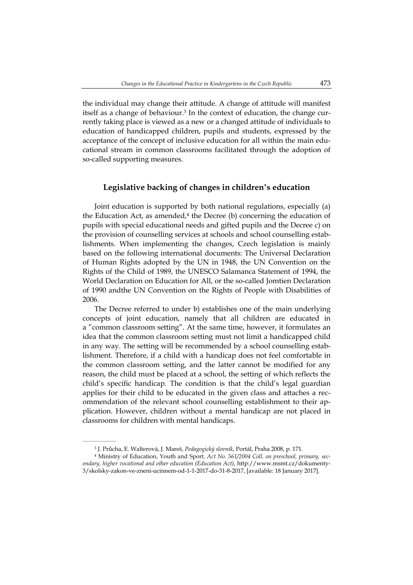the individual may change their attitude. A change of attitude will manifest itself as a change of behaviour.3 In the context of education, the change currently taking place is viewed as a new or a changed attitude of individuals to education of handicapped children, pupils and students, expressed by the acceptance of the concept of inclusive education for all within the main educational stream in common classrooms facilitated through the adoption of so-called supporting measures.

### **Legislative backing of changes in children's education**

Joint education is supported by both national regulations, especially (a) the Education Act, as amended, $4$  the Decree (b) concerning the education of pupils with special educational needs and gifted pupils and the Decree c) on the provision of counselling services at schools and school counselling establishments. When implementing the changes, Czech legislation is mainly based on the following international documents: The Universal Declaration of Human Rights adopted by the UN in 1948, the UN Convention on the Rights of the Child of 1989, the UNESCO Salamanca Statement of 1994, the World Declaration on Education for All, or the so-called Jomtien Declaration of 1990 andthe UN Convention on the Rights of People with Disabilities of 2006.

The Decree referred to under b) establishes one of the main underlying concepts of joint education, namely that all children are educated in a "common classroom setting". At the same time, however, it formulates an idea that the common classroom setting must not limit a handicapped child in any way. The setting will be recommended by a school counselling establishment. Therefore, if a child with a handicap does not feel comfortable in the common classroom setting, and the latter cannot be modified for any reason, the child must be placed at a school, the setting of which reflects the child's specific handicap. The condition is that the child's legal guardian applies for their child to be educated in the given class and attaches a recommendation of the relevant school counselling establishment to their application. However, children without a mental handicap are not placed in classrooms for children with mental handicaps.

 $\mathcal{L}=\mathcal{L}^{\mathcal{L}}$ 

<sup>3</sup> J. Průcha, E. Walterová, J. Mareš, *Pedagogický slovník*, Portál, Praha 2008, p. 171.

<sup>4</sup> Ministry of Education, Youth and Sport. *Act No. 561/2004 Coll. on preschool, primary, secondary, higher vocational and other education (Education Act)*, http://www.msmt.cz/dokumenty-3/skolsky-zakon-ve-zneni-ucinnem-od-1-1-2017-do-31-8-2017, [available: 18 January 2017].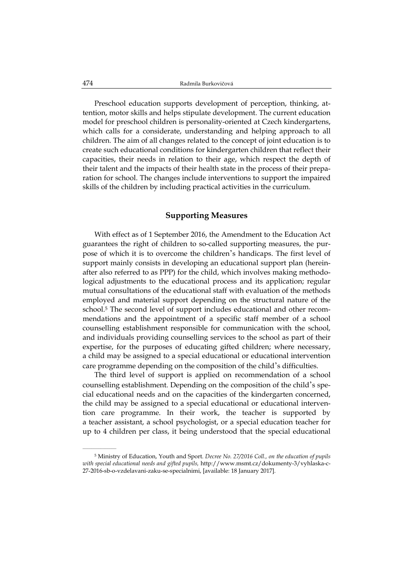Preschool education supports development of perception, thinking, attention, motor skills and helps stipulate development. The current education model for preschool children is personality-oriented at Czech kindergartens, which calls for a considerate, understanding and helping approach to all children. The aim of all changes related to the concept of joint education is to create such educational conditions for kindergarten children that reflect their capacities, their needs in relation to their age, which respect the depth of their talent and the impacts of their health state in the process of their preparation for school. The changes include interventions to support the impaired skills of the children by including practical activities in the curriculum.

# **Supporting Measures**

With effect as of 1 September 2016, the Amendment to the Education Act guarantees the right of children to so-called supporting measures, the purpose of which it is to overcome the children's handicaps. The first level of support mainly consists in developing an educational support plan (hereinafter also referred to as PPP) for the child, which involves making methodological adjustments to the educational process and its application; regular mutual consultations of the educational staff with evaluation of the methods employed and material support depending on the structural nature of the school.5 The second level of support includes educational and other recommendations and the appointment of a specific staff member of a school counselling establishment responsible for communication with the school, and individuals providing counselling services to the school as part of their expertise, for the purposes of educating gifted children; where necessary, a child may be assigned to a special educational or educational intervention care programme depending on the composition of the child's difficulties.

The third level of support is applied on recommendation of a school counselling establishment. Depending on the composition of the child's special educational needs and on the capacities of the kindergarten concerned, the child may be assigned to a special educational or educational intervention care programme. In their work, the teacher is supported by a teacher assistant, a school psychologist, or a special education teacher for up to 4 children per class, it being understood that the special educational

 $\mathcal{L}=\mathcal{L}^{\mathcal{L}}$ 

<sup>5</sup> Ministry of Education, Youth and Sport. *Decree No. 27/2016 Coll., on the education of pupils with special educational needs and gifted pupils,* http://www.msmt.cz/dokumenty-3/vyhlaska-c-27-2016-sb-o-vzdelavani-zaku-se-specialnimi, [available: 18 January 2017].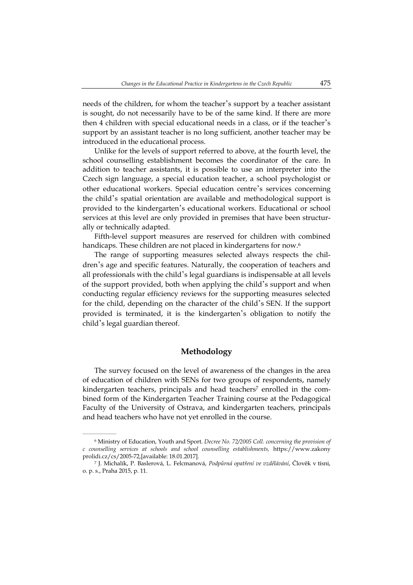needs of the children, for whom the teacher's support by a teacher assistant is sought, do not necessarily have to be of the same kind. If there are more then 4 children with special educational needs in a class, or if the teacher's support by an assistant teacher is no long sufficient, another teacher may be introduced in the educational process.

Unlike for the levels of support referred to above, at the fourth level, the school counselling establishment becomes the coordinator of the care. In addition to teacher assistants, it is possible to use an interpreter into the Czech sign language, a special education teacher, a school psychologist or other educational workers. Special education centre's services concerning the child's spatial orientation are available and methodological support is provided to the kindergarten's educational workers. Educational or school services at this level are only provided in premises that have been structurally or technically adapted.

Fifth-level support measures are reserved for children with combined handicaps. These children are not placed in kindergartens for now.<sup>6</sup>

The range of supporting measures selected always respects the children's age and specific features. Naturally, the cooperation of teachers and all professionals with the child's legal guardians is indispensable at all levels of the support provided, both when applying the child's support and when conducting regular efficiency reviews for the supporting measures selected for the child, depending on the character of the child's SEN. If the support provided is terminated, it is the kindergarten's obligation to notify the child's legal guardian thereof.

## **Methodology**

The survey focused on the level of awareness of the changes in the area of education of children with SENs for two groups of respondents, namely kindergarten teachers, principals and head teachers<sup>7</sup> enrolled in the combined form of the Kindergarten Teacher Training course at the Pedagogical Faculty of the University of Ostrava, and kindergarten teachers, principals and head teachers who have not yet enrolled in the course.

 $\mathcal{L}=\mathcal{L}^{\mathcal{L}}$ 

<sup>6</sup> Ministry of Education, Youth and Sport. *Decree No. 72/2005 Coll. concerning the provision of c counselling services at schools and school counselling establishments,* https://www.zakony prolidi.cz/cs/2005-72,[available: 18.01.2017].

<sup>7</sup> J. Michalík, P. Baslerová, L. Felcmanová, *Podpůrná opatření ve vzdělávání*, Člověk v tísni, o. p. s., Praha 2015, p. 11.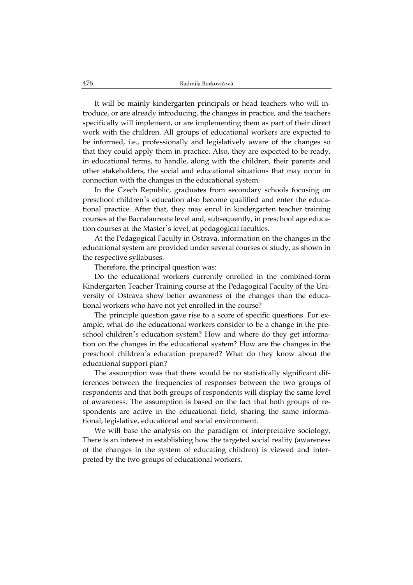It will be mainly kindergarten principals or head teachers who will introduce, or are already introducing, the changes in practice, and the teachers specifically will implement, or are implementing them as part of their direct work with the children. All groups of educational workers are expected to be informed, i.e., professionally and legislatively aware of the changes so that they could apply them in practice. Also, they are expected to be ready, in educational terms, to handle, along with the children, their parents and other stakeholders, the social and educational situations that may occur in connection with the changes in the educational system.

In the Czech Republic, graduates from secondary schools focusing on preschool children's education also become qualified and enter the educational practice. After that, they may enrol in kindergarten teacher training courses at the Baccalaureate level and, subsequently, in preschool age education courses at the Master's level, at pedagogical faculties.

At the Pedagogical Faculty in Ostrava, information on the changes in the educational system are provided under several courses of study, as shown in the respective syllabuses.

Therefore, the principal question was:

Do the educational workers currently enrolled in the combined-form Kindergarten Teacher Training course at the Pedagogical Faculty of the University of Ostrava show better awareness of the changes than the educational workers who have not yet enrolled in the course?

The principle question gave rise to a score of specific questions. For example, what do the educational workers consider to be a change in the preschool children's education system? How and where do they get information on the changes in the educational system? How are the changes in the preschool children's education prepared? What do they know about the educational support plan?

The assumption was that there would be no statistically significant differences between the frequencies of responses between the two groups of respondents and that both groups of respondents will display the same level of awareness. The assumption is based on the fact that both groups of respondents are active in the educational field, sharing the same informational, legislative, educational and social environment.

We will base the analysis on the paradigm of interpretative sociology. There is an interest in establishing how the targeted social reality (awareness of the changes in the system of educating children) is viewed and interpreted by the two groups of educational workers.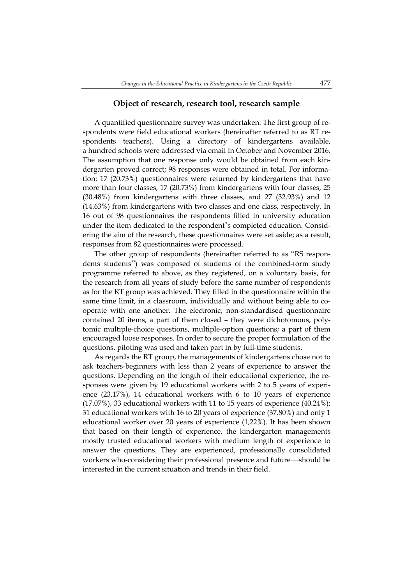A quantified questionnaire survey was undertaken. The first group of respondents were field educational workers (hereinafter referred to as RT respondents teachers). Using a directory of kindergartens available, a hundred schools were addressed via email in October and November 2016. The assumption that one response only would be obtained from each kindergarten proved correct; 98 responses were obtained in total. For information: 17 (20.73%) questionnaires were returned by kindergartens that have more than four classes, 17 (20.73%) from kindergartens with four classes, 25 (30.48%) from kindergartens with three classes, and 27 (32.93%) and 12 (14.63%) from kindergartens with two classes and one class, respectively. In 16 out of 98 questionnaires the respondents filled in university education under the item dedicated to the respondent's completed education. Considering the aim of the research, these questionnaires were set aside; as a result, responses from 82 questionnaires were processed.

The other group of respondents (hereinafter referred to as "RS respondents students") was composed of students of the combined-form study programme referred to above, as they registered, on a voluntary basis, for the research from all years of study before the same number of respondents as for the RT group was achieved. They filled in the questionnaire within the same time limit, in a classroom, individually and without being able to cooperate with one another. The electronic, non-standardised questionnaire contained 20 items, a part of them closed – they were dichotomous, polytomic multiple-choice questions, multiple-option questions; a part of them encouraged loose responses. In order to secure the proper formulation of the questions, piloting was used and taken part in by full-time students.

As regards the RT group, the managements of kindergartens chose not to ask teachers-beginners with less than 2 years of experience to answer the questions. Depending on the length of their educational experience, the responses were given by 19 educational workers with 2 to 5 years of experience (23.17%), 14 educational workers with 6 to 10 years of experience (17.07%), 33 educational workers with 11 to 15 years of experience (40.24%); 31 educational workers with 16 to 20 years of experience (37.80%) and only 1 educational worker over 20 years of experience (1,22%). It has been shown that based on their length of experience, the kindergarten managements mostly trusted educational workers with medium length of experience to answer the questions. They are experienced, professionally consolidated workers who-considering their professional presence and future—should be interested in the current situation and trends in their field.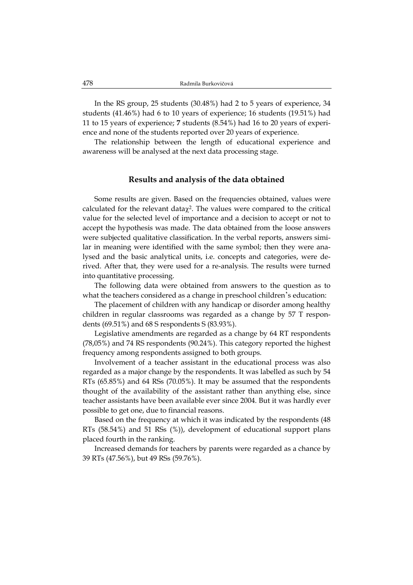In the RS group, 25 students (30.48%) had 2 to 5 years of experience, 34 students (41.46%) had 6 to 10 years of experience; 16 students (19.51%) had 11 to 15 years of experience; **7** students (8.54%) had 16 to 20 years of experience and none of the students reported over 20 years of experience.

The relationship between the length of educational experience and awareness will be analysed at the next data processing stage.

#### **Results and analysis of the data obtained**

Some results are given. Based on the frequencies obtained, values were calculated for the relevant data $\chi^2$ . The values were compared to the critical value for the selected level of importance and a decision to accept or not to accept the hypothesis was made. The data obtained from the loose answers were subjected qualitative classification. In the verbal reports, answers similar in meaning were identified with the same symbol; then they were analysed and the basic analytical units, i.e. concepts and categories, were derived. After that, they were used for a re-analysis. The results were turned into quantitative processing.

The following data were obtained from answers to the question as to what the teachers considered as a change in preschool children's education:

The placement of children with any handicap or disorder among healthy children in regular classrooms was regarded as a change by 57 T respondents (69.51%) and 68 S respondents S (83.93%).

Legislative amendments are regarded as a change by 64 RT respondents (78,05%) and 74 RS respondents (90.24%). This category reported the highest frequency among respondents assigned to both groups.

Involvement of a teacher assistant in the educational process was also regarded as a major change by the respondents. It was labelled as such by 54 RTs (65.85%) and 64 RSs (70.05%). It may be assumed that the respondents thought of the availability of the assistant rather than anything else, since teacher assistants have been available ever since 2004. But it was hardly ever possible to get one, due to financial reasons.

Based on the frequency at which it was indicated by the respondents (48 RTs (58.54%) and 51 RSs (%)), development of educational support plans placed fourth in the ranking.

Increased demands for teachers by parents were regarded as a chance by 39 RTs (47.56%), but 49 RSs (59.76%).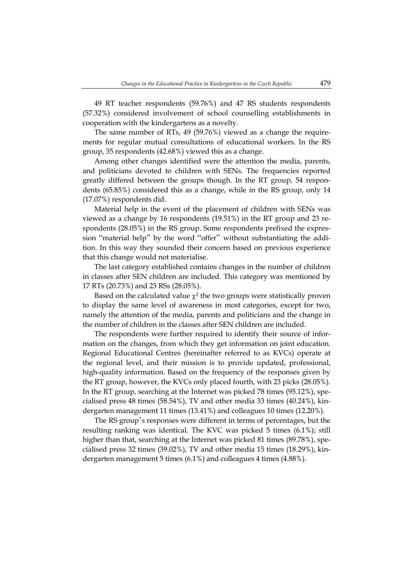49 RT teacher respondents (59.76%) and 47 RS students respondents (57.32%) considered involvement of school counselling establishments in cooperation with the kindergartens as a novelty.

The same number of RTs, 49 (59.76%) viewed as a change the requirements for regular mutual consultations of educational workers. In the RS group, 35 respondents (42.68%) viewed this as a change.

Among other changes identified were the attention the media, parents, and politicians devoted to children with SENs. The frequencies reported greatly differed between the groups though. In the RT group, 54 respondents (65.85%) considered this as a change, while in the RS group, only 14 (17.07%) respondents did.

Material help in the event of the placement of children with SENs was viewed as a change by 16 respondents (19.51%) in the RT group and 23 respondents (28.05%) in the RS group. Some respondents prefixed the expression "material help" by the word "offer" without substantiating the addition. In this way they sounded their concern based on previous experience that this change would not materialise.

The last category established contains changes in the number of children in classes after SEN children are included. This category was mentioned by 17 RTs (20.73%) and 23 RSs (28.05%).

Based on the calculated value  $\chi^2$  the two groups were statistically proven to display the same level of awareness in most categories, except for two, namely the attention of the media, parents and politicians and the change in the number of children in the classes after SEN children are included.

The respondents were further required to identify their source of information on the changes, from which they get information on joint education. Regional Educational Centres (hereinafter referred to as KVCs) operate at the regional level, and their mission is to provide updated, professional, high-quality information. Based on the frequency of the responses given by the RT group, however, the KVCs only placed fourth, with 23 picks (28.05%). In the RT group, searching at the Internet was picked 78 times (95.12%), specialised press 48 times (58.54%), TV and other media 33 times (40.24%), kindergarten management 11 times (13.41%) and colleagues 10 times (12.20%).

The RS group's responses were different in terms of percentages, but the resulting ranking was identical. The KVC was picked 5 times (6.1%); still higher than that, searching at the Internet was picked 81 times (89.78%), specialised press 32 times (39.02%), TV and other media 15 times (18.29%), kindergarten management 5 times (6.1%) and colleagues 4 times (4.88%).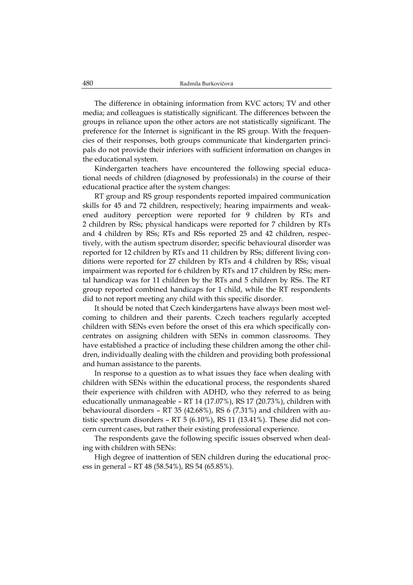The difference in obtaining information from KVC actors; TV and other media; and colleagues is statistically significant. The differences between the groups in reliance upon the other actors are not statistically significant. The preference for the Internet is significant in the RS group. With the frequencies of their responses, both groups communicate that kindergarten principals do not provide their inferiors with sufficient information on changes in the educational system.

Kindergarten teachers have encountered the following special educational needs of children (diagnosed by professionals) in the course of their educational practice after the system changes:

RT group and RS group respondents reported impaired communication skills for 45 and 72 children, respectively; hearing impairments and weakened auditory perception were reported for 9 children by RTs and 2 children by RSs; physical handicaps were reported for 7 children by RTs and 4 children by RSs; RTs and RSs reported 25 and 42 children, respectively, with the autism spectrum disorder; specific behavioural disorder was reported for 12 children by RTs and 11 children by RSs; different living conditions were reported for 27 children by RTs and 4 children by RSs; visual impairment was reported for 6 children by RTs and 17 children by RSs; mental handicap was for 11 children by the RTs and 5 children by RSs. The RT group reported combined handicaps for 1 child, while the RT respondents did to not report meeting any child with this specific disorder.

It should be noted that Czech kindergartens have always been most welcoming to children and their parents. Czech teachers regularly accepted children with SENs even before the onset of this era which specifically concentrates on assigning children with SENs in common classrooms. They have established a practice of including these children among the other children, individually dealing with the children and providing both professional and human assistance to the parents.

In response to a question as to what issues they face when dealing with children with SENs within the educational process, the respondents shared their experience with children with ADHD, who they referred to as being educationally unmanageable – RT 14 (17.07%), RS 17 (20.73%), children with behavioural disorders – RT 35 (42.68%), RS 6 (7.31%) and children with autistic spectrum disorders – RT 5 (6.10%), RS 11 (13.41%). These did not concern current cases, but rather their existing professional experience.

The respondents gave the following specific issues observed when dealing with children with SENs:

High degree of inattention of SEN children during the educational process in general – RT 48 (58.54%), RS 54 (65.85%).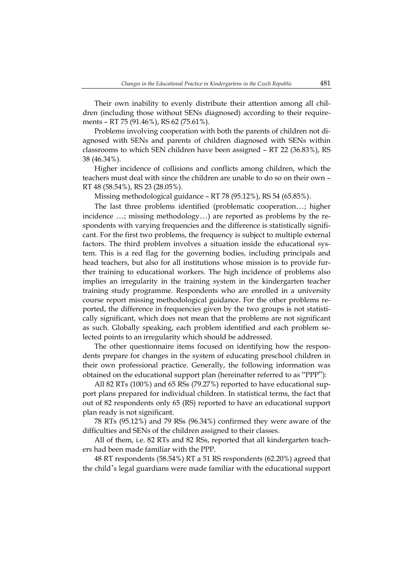Their own inability to evenly distribute their attention among all children (including those without SENs diagnosed) according to their requirements – RT 75 (91.46%), RS 62 (75.61%).

Problems involving cooperation with both the parents of children not diagnosed with SENs and parents of children diagnosed with SENs within classrooms to which SEN children have been assigned – RT 22 (36.83%), RS 38 (46.34%).

Higher incidence of collisions and conflicts among children, which the teachers must deal with since the children are unable to do so on their own – RT 48 (58.54%), RS 23 (28.05%).

Missing methodological guidance – RT 78 (95.12%), RS 54 (65.85%).

The last three problems identified (problematic cooperation…; higher incidence …; missing methodology…) are reported as problems by the respondents with varying frequencies and the difference is statistically significant. For the first two problems, the frequency is subject to multiple external factors. The third problem involves a situation inside the educational system. This is a red flag for the governing bodies, including principals and head teachers, but also for all institutions whose mission is to provide further training to educational workers. The high incidence of problems also implies an irregularity in the training system in the kindergarten teacher training study programme. Respondents who are enrolled in a university course report missing methodological guidance. For the other problems reported, the difference in frequencies given by the two groups is not statistically significant, which does not mean that the problems are not significant as such. Globally speaking, each problem identified and each problem selected points to an irregularity which should be addressed.

The other questionnaire items focused on identifying how the respondents prepare for changes in the system of educating preschool children in their own professional practice. Generally, the following information was obtained on the educational support plan (hereinafter referred to as "PPP"):

All 82 RTs (100%) and 65 RSs (79.27%) reported to have educational support plans prepared for individual children. In statistical terms, the fact that out of 82 respondents only 65 (RS) reported to have an educational support plan ready is not significant.

78 RTs (95.12%) and 79 RSs (96.34%) confirmed they were aware of the difficulties and SENs of the children assigned to their classes.

All of them, i.e. 82 RTs and 82 RSs, reported that all kindergarten teachers had been made familiar with the PPP.

48 RT respondents (58.54%) RT a 51 RS respondents (62.20%) agreed that the child's legal guardians were made familiar with the educational support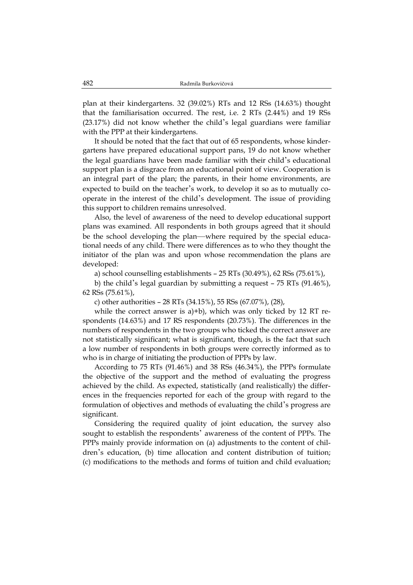plan at their kindergartens. 32 (39.02%) RTs and 12 RSs (14.63%) thought that the familiarisation occurred. The rest, i.e. 2 RTs (2.44%) and 19 RSs (23.17%) did not know whether the child's legal guardians were familiar with the PPP at their kindergartens.

It should be noted that the fact that out of 65 respondents, whose kindergartens have prepared educational support pans, 19 do not know whether the legal guardians have been made familiar with their child's educational support plan is a disgrace from an educational point of view. Cooperation is an integral part of the plan; the parents, in their home environments, are expected to build on the teacher's work, to develop it so as to mutually cooperate in the interest of the child's development. The issue of providing this support to children remains unresolved.

Also, the level of awareness of the need to develop educational support plans was examined. All respondents in both groups agreed that it should be the school developing the plan—where required by the special educational needs of any child. There were differences as to who they thought the initiator of the plan was and upon whose recommendation the plans are developed:

a) school counselling establishments – 25 RTs (30.49%), 62 RSs (75.61%),

b) the child's legal guardian by submitting a request – 75 RTs (91.46%), 62 RSs (75.61%),

c) other authorities – 28 RTs (34.15%), 55 RSs (67.07%), (28),

while the correct answer is a)+b), which was only ticked by 12 RT respondents (14.63%) and 17 RS respondents (20.73%). The differences in the numbers of respondents in the two groups who ticked the correct answer are not statistically significant; what is significant, though, is the fact that such a low number of respondents in both groups were correctly informed as to who is in charge of initiating the production of PPPs by law.

According to 75 RTs (91.46%) and 38 RSs (46.34%), the PPPs formulate the objective of the support and the method of evaluating the progress achieved by the child. As expected, statistically (and realistically) the differences in the frequencies reported for each of the group with regard to the formulation of objectives and methods of evaluating the child's progress are significant.

Considering the required quality of joint education, the survey also sought to establish the respondents' awareness of the content of PPPs. The PPPs mainly provide information on (a) adjustments to the content of children's education, (b) time allocation and content distribution of tuition; (c) modifications to the methods and forms of tuition and child evaluation;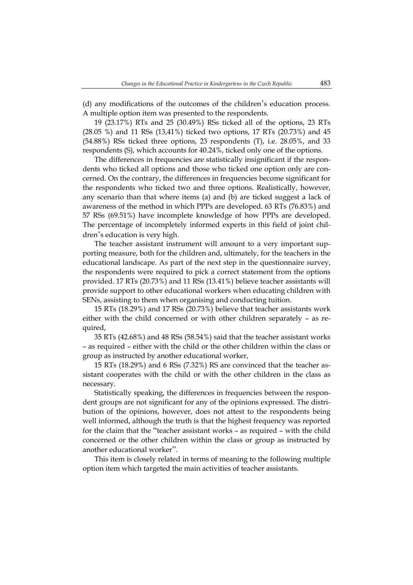(d) any modifications of the outcomes of the children's education process. A multiple option item was presented to the respondents.

19 (23.17%) RTs and 25 (30.49%) RSs ticked all of the options, 23 RTs (28.05 %) and 11 RSs (13,41%) ticked two options, 17 RTs (20.73%) and 45  $(54.88%)$  RSs ticked three options, 23 respondents  $(T)$ , i.e. 28.05%, and 33 respondents (S), which accounts for 40.24%, ticked only one of the options.

The differences in frequencies are statistically insignificant if the respondents who ticked all options and those who ticked one option only are concerned. On the contrary, the differences in frequencies become significant for the respondents who ticked two and three options. Realistically, however, any scenario than that where items (a) and (b) are ticked suggest a lack of awareness of the method in which PPPs are developed. 63 RTs (76.83%) and 57 RSs (69.51%) have incomplete knowledge of how PPPs are developed. The percentage of incompletely informed experts in this field of joint children's education is very high.

The teacher assistant instrument will amount to a very important supporting measure, both for the children and, ultimately, for the teachers in the educational landscape. As part of the next step in the questionnaire survey, the respondents were required to pick a correct statement from the options provided. 17 RTs (20.73%) and 11 RSs (13.41%) believe teacher assistants will provide support to other educational workers when educating children with SENs, assisting to them when organising and conducting tuition.

15 RTs (18.29%) and 17 RSs (20.73%) believe that teacher assistants work either with the child concerned or with other children separately – as required,

35 RTs (42.68%) and 48 RSs (58.54%) said that the teacher assistant works – as required – either with the child or the other children within the class or group as instructed by another educational worker,

15 RTs (18.29%) and 6 RSs (7.32%) RS are convinced that the teacher assistant cooperates with the child or with the other children in the class as necessary.

Statistically speaking, the differences in frequencies between the respondent groups are not significant for any of the opinions expressed. The distribution of the opinions, however, does not attest to the respondents being well informed, although the truth is that the highest frequency was reported for the claim that the "teacher assistant works – as required – with the child concerned or the other children within the class or group as instructed by another educational worker".

This item is closely related in terms of meaning to the following multiple option item which targeted the main activities of teacher assistants.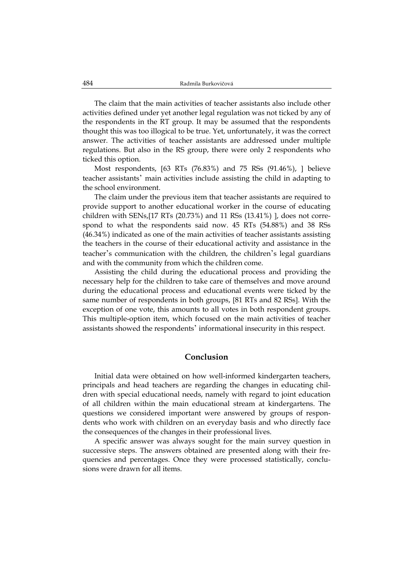The claim that the main activities of teacher assistants also include other activities defined under yet another legal regulation was not ticked by any of the respondents in the RT group. It may be assumed that the respondents thought this was too illogical to be true. Yet, unfortunately, it was the correct answer. The activities of teacher assistants are addressed under multiple regulations. But also in the RS group, there were only 2 respondents who ticked this option.

Most respondents, [63 RTs (76.83%) and 75 RSs (91.46%), ] believe teacher assistants' main activities include assisting the child in adapting to the school environment.

The claim under the previous item that teacher assistants are required to provide support to another educational worker in the course of educating children with SENs,  $[17 \text{ RTs } (20.73\%)$  and  $11 \text{ RSs } (13.41\%)$  , does not correspond to what the respondents said now. 45 RTs (54.88%) and 38 RSs (46.34%) indicated as one of the main activities of teacher assistants assisting the teachers in the course of their educational activity and assistance in the teacher's communication with the children, the children's legal guardians and with the community from which the children come.

Assisting the child during the educational process and providing the necessary help for the children to take care of themselves and move around during the educational process and educational events were ticked by the same number of respondents in both groups, [81 RTs and 82 RSs]. With the exception of one vote, this amounts to all votes in both respondent groups. This multiple-option item, which focused on the main activities of teacher assistants showed the respondents' informational insecurity in this respect.

### **Conclusion**

Initial data were obtained on how well-informed kindergarten teachers, principals and head teachers are regarding the changes in educating children with special educational needs, namely with regard to joint education of all children within the main educational stream at kindergartens. The questions we considered important were answered by groups of respondents who work with children on an everyday basis and who directly face the consequences of the changes in their professional lives.

A specific answer was always sought for the main survey question in successive steps. The answers obtained are presented along with their frequencies and percentages. Once they were processed statistically, conclusions were drawn for all items.